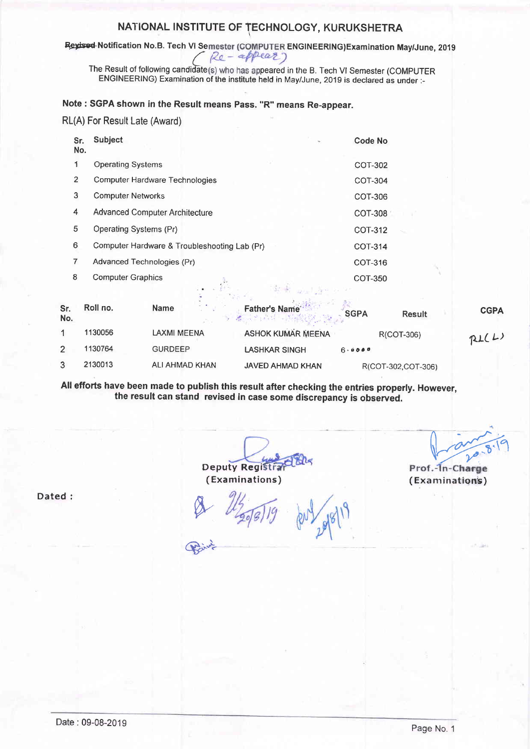## NATIONAL INSTITUTE OF TECHNOLOGY, KURUKSHETRA

Revised Notification No.B. Tech VI Semester (COMPUTER ENGINEERING) Examination May/June, 2019 Re-appear)

The Result of following candidate(s) who has appeared in the B. Tech VI Semester (COMPUTER ENGINEERING) Examination of the institute held in May/June, 2019 is declared as under :-

## Note: SGPA shown in the Result means Pass. "R" means Re-appear.

RL(A) For Result Late (Award)

| Sr.<br>No.     | <b>Subject</b>                               | Code No        |
|----------------|----------------------------------------------|----------------|
| 1              | <b>Operating Systems</b>                     | <b>COT-302</b> |
| $\overline{2}$ | <b>Computer Hardware Technologies</b>        | COT-304        |
| 3              | <b>Computer Networks</b>                     | COT-306        |
| 4              | <b>Advanced Computer Architecture</b>        | COT-308        |
| 5              | Operating Systems (Pr)                       | COT-312        |
| 6              | Computer Hardware & Troubleshooting Lab (Pr) | <b>COT-314</b> |
| 7              | Advanced Technologies (Pr)                   | COT-316        |
| 8              | <b>Computer Graphics</b>                     | COT-350        |
|                | 11 Bank Die Net                              |                |

| Sr.<br>No. | Roll no. | <b>Name</b>    | <b>Father's Name</b><br><b>ACCEPTED MARINES</b> | <b>SGPA</b><br><b>Result</b> | <b>CGPA</b> |
|------------|----------|----------------|-------------------------------------------------|------------------------------|-------------|
|            | 1130056  | LAXMI MEENA    | <b>ASHOK KUMAR MEENA</b>                        | R(COT-306)                   | RL(L)       |
|            | 1130764  | <b>GURDEEP</b> | <b>LASHKAR SINGH</b>                            | 6.0000                       |             |
|            | 2130013  | ALI AHMAD KHAN | <b>JAVED AHMAD KHAN</b>                         | R(COT-302,COT-306)           |             |

All efforts have been made to publish this result after checking the entries properly. However, the result can stand revised in case some discrepancy is observed.

Deputy Registra (Examinations)

Prof.-In-Charge (Examinations)

Dated: